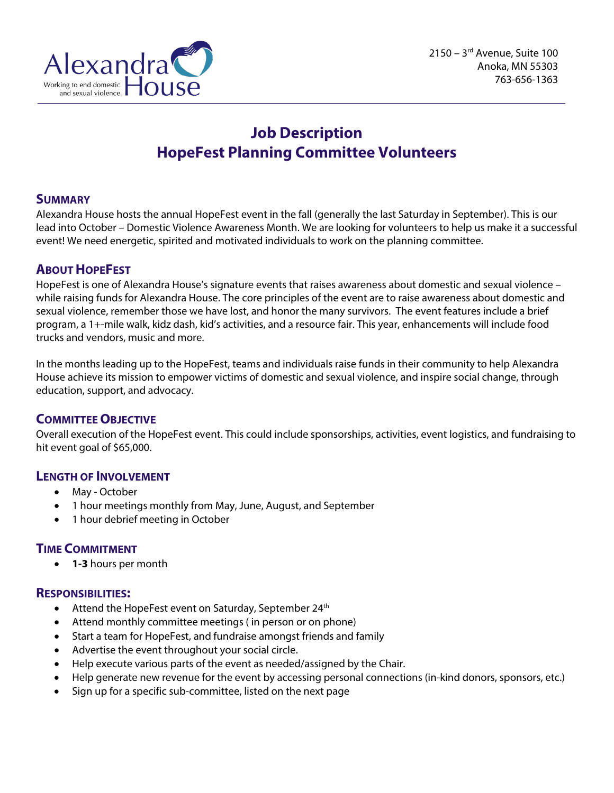

# **Job Description HopeFest Planning Committee Volunteers**

# **SUMMARY**

Alexandra House hosts the annual HopeFest event in the fall (generally the last Saturday in September). This is our lead into October – Domestic Violence Awareness Month. We are looking for volunteers to help us make it a successful event! We need energetic, spirited and motivated individuals to work on the planning committee.

# **ABOUT HOPEFEST**

HopeFest is one of Alexandra House's signature events that raises awareness about domestic and sexual violence – while raising funds for Alexandra House. The core principles of the event are to raise awareness about domestic and sexual violence, remember those we have lost, and honor the many survivors. The event features include a brief program, a 1+-mile walk, kidz dash, kid's activities, and a resource fair. This year, enhancements will include food trucks and vendors, music and more.

In the months leading up to the HopeFest, teams and individuals raise funds in their community to help Alexandra House achieve its mission to empower victims of domestic and sexual violence, and inspire social change, through education, support, and advocacy.

# **COMMITTEE OBJECTIVE**

Overall execution of the HopeFest event. This could include sponsorships, activities, event logistics, and fundraising to hit event goal of \$65,000.

# **LENGTH OF INVOLVEMENT**

- May October
- 1 hour meetings monthly from May, June, August, and September
- 1 hour debrief meeting in October

# **TIME COMMITMENT**

• **1-3** hours per month

# **RESPONSIBILITIES:**

- Attend the HopeFest event on Saturday, September 24<sup>th</sup>
- Attend monthly committee meetings ( in person or on phone)
- Start a team for HopeFest, and fundraise amongst friends and family
- Advertise the event throughout your social circle.
- Help execute various parts of the event as needed/assigned by the Chair.
- Help generate new revenue for the event by accessing personal connections (in-kind donors, sponsors, etc.)
- Sign up for a specific sub-committee, listed on the next page